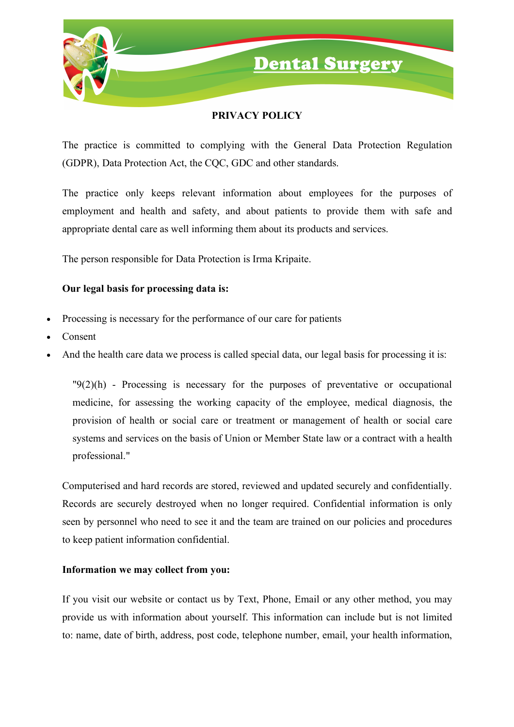



## **PRIVACY POLICY**

The practice is committed to complying with the General Data Protection Regulation (GDPR), Data Protection Act, the CQC, GDC and other standards.

The practice only keeps relevant information about employees for the purposes of employment and health and safety, and about patients to provide them with safe and appropriate dental care as well informing them about its products and services.

The person responsible for Data Protection is Irma Kripaite.

### **Our legal basis for processing data is:**

- Processing is necessary for the performance of our care for patients
- Consent
- And the health care data we process is called special data, our legal basis for processing it is:

 $"9(2)(h)$  - Processing is necessary for the purposes of preventative or occupational medicine, for assessing the working capacity of the employee, medical diagnosis, the provision of health or social care or treatment or management of health or social care systems and services on the basis of Union or Member State law or a contract with a health professional."

Computerised and hard records are stored, reviewed and updated securely and confidentially. Records are securely destroyed when no longer required. Confidential information is only seen by personnel who need to see it and the team are trained on our policies and procedures to keep patient information confidential.

#### **Information we may collect from you:**

If you visit our website or contact us by Text, Phone, Email or any other method, you may provide us with information about yourself. This information can include but is not limited to: name, date of birth, address, post code, telephone number, email, your health information,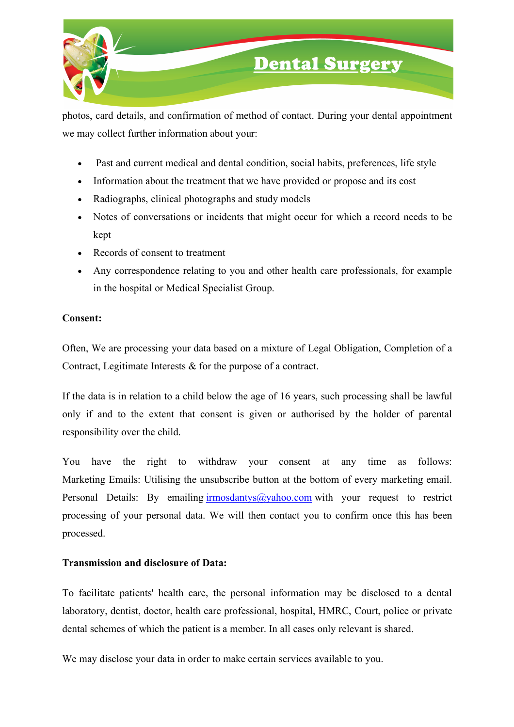

# **Dental Surgery**

photos, card details, and confirmation of method of contact. During your dental appointment we may collect further information about your:

- Past and current medical and dental condition, social habits, preferences, life style
- Information about the treatment that we have provided or propose and its cost
- Radiographs, clinical photographs and study models
- Notes of conversations or incidents that might occur for which a record needs to be kept
- Records of consent to treatment
- Any correspondence relating to you and other health care professionals, for example in the hospital or Medical Specialist Group.

#### **Consent:**

Often, We are processing your data based on a mixture of Legal Obligation, Completion of a Contract, Legitimate Interests & for the purpose of a contract.

If the data is in relation to a child below the age of 16 years, such processing shall be lawful only if and to the extent that consent is given or authorised by the holder of parental responsibility over the child.

You have the right to withdraw your consent at any time as follows: Marketing Emails: Utilising the unsubscribe button at the bottom of every marketing email. Personal Details: By emailing  $\frac{\text{irmosdantys}(a)}{\text{yahoo.com}}$  with your request to restrict processing of your personal data. We will then contact you to confirm once this has been processed.

#### **Transmission and disclosure of Data:**

To facilitate patients' health care, the personal information may be disclosed to a dental laboratory, dentist, doctor, health care professional, hospital, HMRC, Court, police or private dental schemes of which the patient is a member. In all cases only relevant is shared.

We may disclose your data in order to make certain services available to you.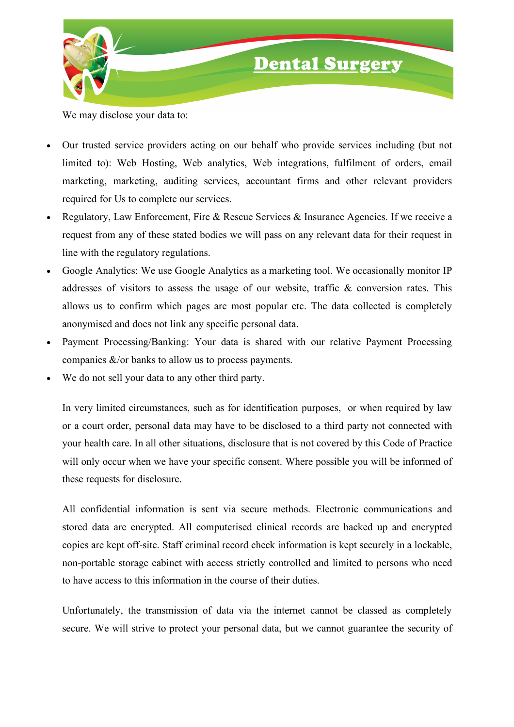

We may disclose your data to:

- Our trusted service providers acting on our behalf who provide services including (but not limited to): Web Hosting, Web analytics, Web integrations, fulfilment of orders, email marketing, marketing, auditing services, accountant firms and other relevant providers required for Us to complete our services.
- Regulatory, Law Enforcement, Fire & Rescue Services & Insurance Agencies. If we receive a request from any of these stated bodies we will pass on any relevant data for their request in line with the regulatory regulations.
- Google Analytics: We use Google Analytics as a marketing tool. We occasionally monitor IP addresses of visitors to assess the usage of our website, traffic & conversion rates. This allows us to confirm which pages are most popular etc. The data collected is completely anonymised and does not link any specific personal data.
- Payment Processing/Banking: Your data is shared with our relative Payment Processing companies &/or banks to allow us to process payments.
- We do not sell your data to any other third party.

In very limited circumstances, such as for identification purposes, or when required by law or a court order, personal data may have to be disclosed to a third party not connected with your health care. In all other situations, disclosure that is not covered by this Code of Practice will only occur when we have your specific consent. Where possible you will be informed of these requests for disclosure.

All confidential information is sent via secure methods. Electronic communications and stored data are encrypted. All computerised clinical records are backed up and encrypted copies are kept off-site. Staff criminal record check information is kept securely in a lockable, non-portable storage cabinet with access strictly controlled and limited to persons who need to have access to this information in the course of their duties.

Unfortunately, the transmission of data via the internet cannot be classed as completely secure. We will strive to protect your personal data, but we cannot guarantee the security of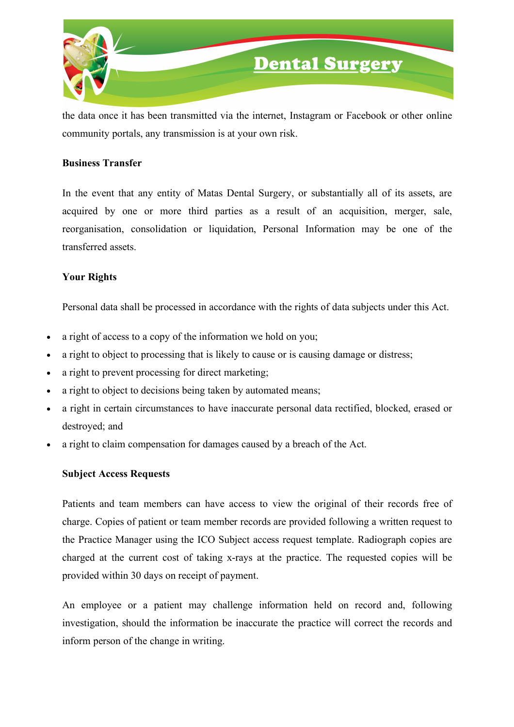

the data once it has been transmitted via the internet, Instagram or Facebook or other online community portals, any transmission is at your own risk.

#### **Business Transfer**

In the event that any entity of Matas Dental Surgery, or substantially all of its assets, are acquired by one or more third parties as a result of an acquisition, merger, sale, reorganisation, consolidation or liquidation, Personal Information may be one of the transferred assets.

#### **Your Rights**

Personal data shall be processed in accordance with the rights of data subjects under this Act.

- a right of access to a copy of the information we hold on you;
- a right to object to processing that is likely to cause or is causing damage or distress;
- a right to prevent processing for direct marketing;
- a right to object to decisions being taken by automated means;
- a right in certain circumstances to have inaccurate personal data rectified, blocked, erased or destroyed; and
- a right to claim compensation for damages caused by a breach of the Act.

#### **Subject Access Requests**

Patients and team members can have access to view the original of their records free of charge. Copies of patient or team member records are provided following a written request to the Practice Manager using the ICO Subject access request template. Radiograph copies are charged at the current cost of taking x-rays at the practice. The requested copies will be provided within 30 days on receipt of payment.

An employee or a patient may challenge information held on record and, following investigation, should the information be inaccurate the practice will correct the records and inform person of the change in writing.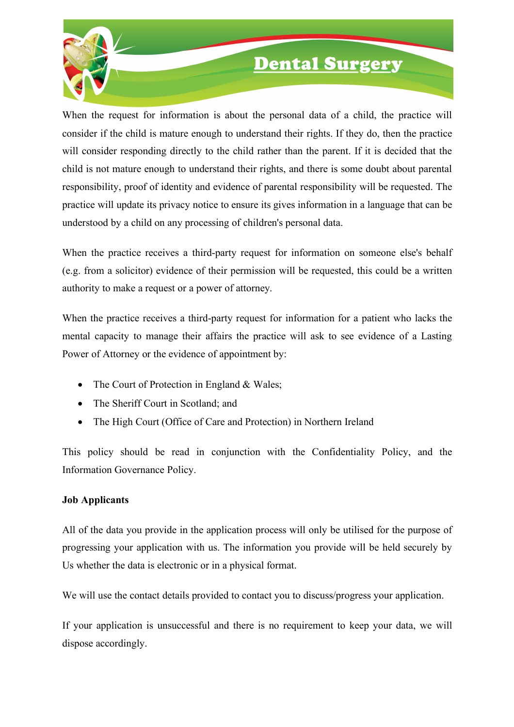

# **Dental Surgery**

When the request for information is about the personal data of a child, the practice will consider if the child is mature enough to understand their rights. If they do, then the practice will consider responding directly to the child rather than the parent. If it is decided that the child is not mature enough to understand their rights, and there is some doubt about parental responsibility, proof of identity and evidence of parental responsibility will be requested. The practice will update its privacy notice to ensure its gives information in a language that can be understood by a child on any processing of children's personal data.

When the practice receives a third-party request for information on someone else's behalf (e.g. from a solicitor) evidence of their permission will be requested, this could be a written authority to make a request or a power of attorney.

When the practice receives a third-party request for information for a patient who lacks the mental capacity to manage their affairs the practice will ask to see evidence of a Lasting Power of Attorney or the evidence of appointment by:

- The Court of Protection in England & Wales;
- The Sheriff Court in Scotland: and
- The High Court (Office of Care and Protection) in Northern Ireland

This policy should be read in conjunction with the Confidentiality Policy, and the Information Governance Policy.

#### **Job Applicants**

All of the data you provide in the application process will only be utilised for the purpose of progressing your application with us. The information you provide will be held securely by Us whether the data is electronic or in a physical format.

We will use the contact details provided to contact you to discuss/progress your application.

If your application is unsuccessful and there is no requirement to keep your data, we will dispose accordingly.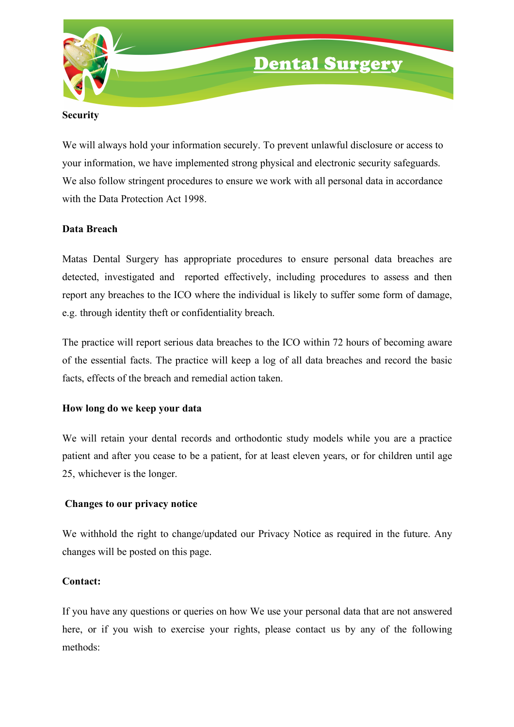

#### **Security**

We will always hold your information securely. To prevent unlawful disclosure or access to your information, we have implemented strong physical and electronic security safeguards. We also follow stringent procedures to ensure we work with all personal data in accordance with the Data Protection Act 1998.

#### **Data Breach**

Matas Dental Surgery has appropriate procedures to ensure personal data breaches are detected, investigated and reported effectively, including procedures to assess and then report any breaches to the ICO where the individual is likely to suffer some form of damage, e.g. through identity theft or confidentiality breach.

The practice will report serious data breaches to the ICO within 72 hours of becoming aware of the essential facts. The practice will keep a log of all data breaches and record the basic facts, effects of the breach and remedial action taken.

#### **How long do we keep your data**

We will retain your dental records and orthodontic study models while you are a practice patient and after you cease to be a patient, for at least eleven years, or for children until age 25, whichever is the longer.

#### **Changes to our privacy notice**

We withhold the right to change/updated our Privacy Notice as required in the future. Any changes will be posted on this page.

#### **Contact:**

If you have any questions or queries on how We use your personal data that are not answered here, or if you wish to exercise your rights, please contact us by any of the following methods: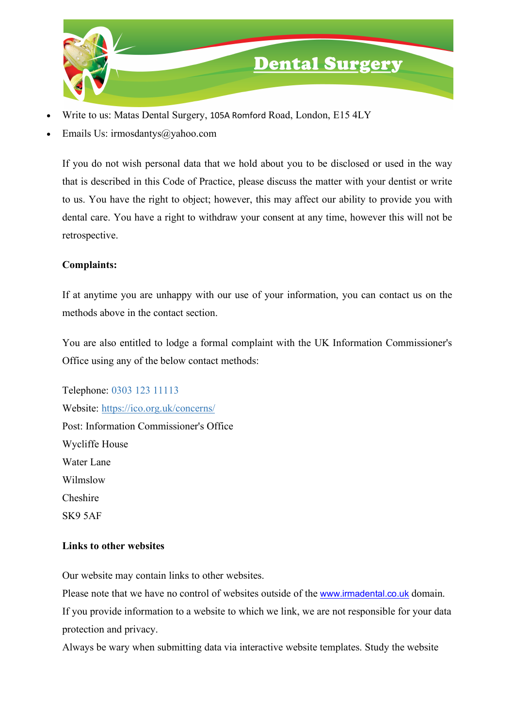

- Write to us: Matas Dental Surgery, 105A Romford Road, London, E15 4LY
- Emails Us: irmosdantys@yahoo.com

If you do not wish personal data that we hold about you to be disclosed or used in the way that is described in this Code of Practice, please discuss the matter with your dentist or write to us. You have the right to object; however, this may affect our ability to provide you with dental care. You have a right to withdraw your consent at any time, however this will not be retrospective.

### **Complaints:**

If at anytime you are unhappy with our use of your information, you can contact us on the methods above in the contact section.

You are also entitled to lodge a formal complaint with the UK Information Commissioner's Office using any of the below contact methods:

Telephone: 0303 123 11113 Website: https://ico.org.uk/concerns/ Post: Information Commissioner's Office Wycliffe House Water Lane Wilmslow Cheshire SK9 5AF

#### **Links to other websites**

Our website may contain links to other websites.

Please note that we have no control of websites outside of the www.irmadental.co.uk domain. If you provide information to a website to which we link, we are not responsible for your data protection and privacy.

Always be wary when submitting data via interactive website templates. Study the website